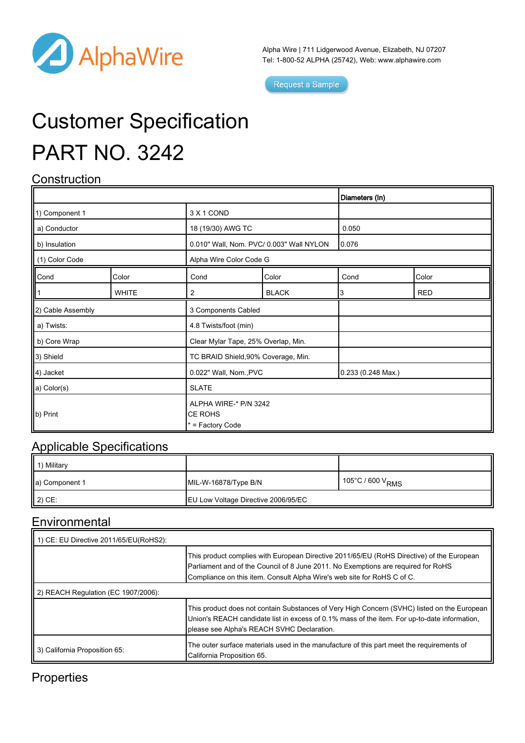

Alpha Wire | 711 Lidgerwood Avenue, Elizabeth, NJ 07207 Tel: 1-800-52 ALPHA (25742), Web: [www.alphawire.com](http://www.alphawire.com)

Request a Sample

# Customer Specification PART NO. 3242

## **Construction**

|                                                                       |              |                                                             |              | Diameters (In)     |            |
|-----------------------------------------------------------------------|--------------|-------------------------------------------------------------|--------------|--------------------|------------|
| 1) Component 1                                                        |              | 3 X 1 COND                                                  |              |                    |            |
| a) Conductor                                                          |              | 18 (19/30) AWG TC                                           |              | 0.050              |            |
| b) Insulation                                                         |              | 0.010" Wall, Nom. PVC/ 0.003" Wall NYLON                    |              | 0.076              |            |
| (1) Color Code                                                        |              | Alpha Wire Color Code G                                     |              |                    |            |
| $\begin{array}{ c c }\n\hline\n\text{Cond} \\ \hline\n1\n\end{array}$ | Color        | Cond                                                        | Color        | Cond               | Color      |
|                                                                       | <b>WHITE</b> | $\overline{2}$                                              | <b>BLACK</b> | 3                  | <b>RED</b> |
| (2) Cable Assembly                                                    |              | 3 Components Cabled                                         |              |                    |            |
| a) Twists:                                                            |              | 4.8 Twists/foot (min)                                       |              |                    |            |
| b) Core Wrap                                                          |              | Clear Mylar Tape, 25% Overlap, Min.                         |              |                    |            |
| 3) Shield                                                             |              | TC BRAID Shield, 90% Coverage, Min.                         |              |                    |            |
| 4) Jacket                                                             |              | 0.022" Wall, Nom., PVC                                      |              | 0.233 (0.248 Max.) |            |
| a) Color(s)                                                           |              | <b>SLATE</b>                                                |              |                    |            |
| b) Print                                                              |              | ALPHA WIRE-* P/N 3242<br><b>CE ROHS</b><br>* = Factory Code |              |                    |            |

#### Applicable Specifications

| 1 1) Military      |                                            |                              |
|--------------------|--------------------------------------------|------------------------------|
| a) Component 1     | MIL-W-16878/Type B/N                       | 105°C / 600 V <sub>RMS</sub> |
| $\parallel$ 2) CE: | <b>EU Low Voltage Directive 2006/95/EC</b> |                              |

#### **Environmental**

| 1) CE: EU Directive 2011/65/EU(RoHS2): |                                                                                                                                                                                                                                                           |  |  |
|----------------------------------------|-----------------------------------------------------------------------------------------------------------------------------------------------------------------------------------------------------------------------------------------------------------|--|--|
|                                        | This product complies with European Directive 2011/65/EU (RoHS Directive) of the European<br>Parliament and of the Council of 8 June 2011. No Exemptions are required for RoHS<br>Compliance on this item. Consult Alpha Wire's web site for RoHS C of C. |  |  |
| 2) REACH Regulation (EC 1907/2006):    |                                                                                                                                                                                                                                                           |  |  |
|                                        | This product does not contain Substances of Very High Concern (SVHC) listed on the European<br>Union's REACH candidate list in excess of 0.1% mass of the item. For up-to-date information,<br>please see Alpha's REACH SVHC Declaration.                 |  |  |
| 3) California Proposition 65:          | The outer surface materials used in the manufacture of this part meet the requirements of<br>California Proposition 65.                                                                                                                                   |  |  |

### **Properties**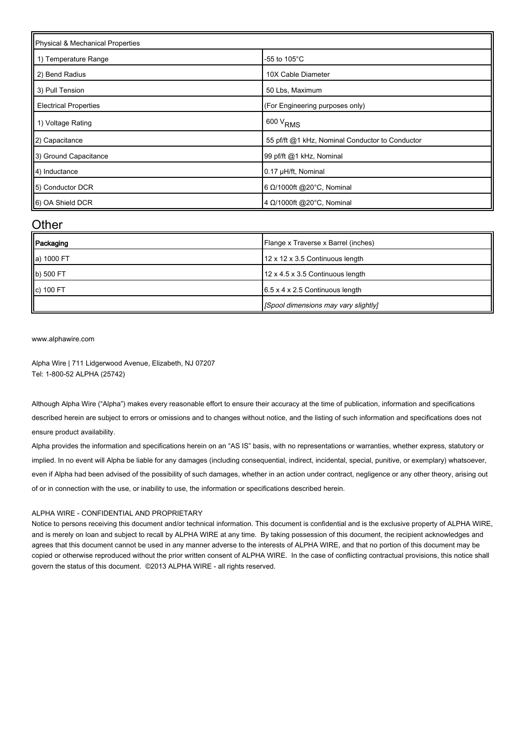| Physical & Mechanical Properties |                                                 |  |  |  |
|----------------------------------|-------------------------------------------------|--|--|--|
| 1) Temperature Range             | -55 to $105^{\circ}$ C                          |  |  |  |
| 2) Bend Radius                   | 10X Cable Diameter                              |  |  |  |
| 3) Pull Tension                  | 50 Lbs, Maximum                                 |  |  |  |
| <b>Electrical Properties</b>     | (For Engineering purposes only)                 |  |  |  |
| 1) Voltage Rating                | $600 V_{RMS}$                                   |  |  |  |
| 2) Capacitance                   | 55 pf/ft @1 kHz, Nominal Conductor to Conductor |  |  |  |
| 3) Ground Capacitance            | 99 pf/ft @1 kHz, Nominal                        |  |  |  |
| 4) Inductance                    | 0.17 µH/ft, Nominal                             |  |  |  |
| 5) Conductor DCR                 | 6 $\Omega$ /1000ft @20°C, Nominal               |  |  |  |
| 6) OA Shield DCR                 | 4 Ω/1000ft @20°C, Nominal                       |  |  |  |

#### **Other**

| Packaging  | Flange x Traverse x Barrel (inches)         |
|------------|---------------------------------------------|
| a) 1000 FT | 12 x 12 x 3.5 Continuous length             |
| b) 500 FT  | 12 x 4.5 x 3.5 Continuous length            |
| c) 100 FT  | $6.5 \times 4 \times 2.5$ Continuous length |
|            | [Spool dimensions may vary slightly]        |

[www.alphawire.com](http://www.alphawire.com)

Alpha Wire | 711 Lidgerwood Avenue, Elizabeth, NJ 07207 Tel: 1-800-52 ALPHA (25742)

Although Alpha Wire ("Alpha") makes every reasonable effort to ensure their accuracy at the time of publication, information and specifications described herein are subject to errors or omissions and to changes without notice, and the listing of such information and specifications does not ensure product availability.

Alpha provides the information and specifications herein on an "AS IS" basis, with no representations or warranties, whether express, statutory or implied. In no event will Alpha be liable for any damages (including consequential, indirect, incidental, special, punitive, or exemplary) whatsoever, even if Alpha had been advised of the possibility of such damages, whether in an action under contract, negligence or any other theory, arising out of or in connection with the use, or inability to use, the information or specifications described herein.

#### ALPHA WIRE - CONFIDENTIAL AND PROPRIETARY

Notice to persons receiving this document and/or technical information. This document is confidential and is the exclusive property of ALPHA WIRE, and is merely on loan and subject to recall by ALPHA WIRE at any time. By taking possession of this document, the recipient acknowledges and agrees that this document cannot be used in any manner adverse to the interests of ALPHA WIRE, and that no portion of this document may be copied or otherwise reproduced without the prior written consent of ALPHA WIRE. In the case of conflicting contractual provisions, this notice shall govern the status of this document. ©2013 ALPHA WIRE - all rights reserved.